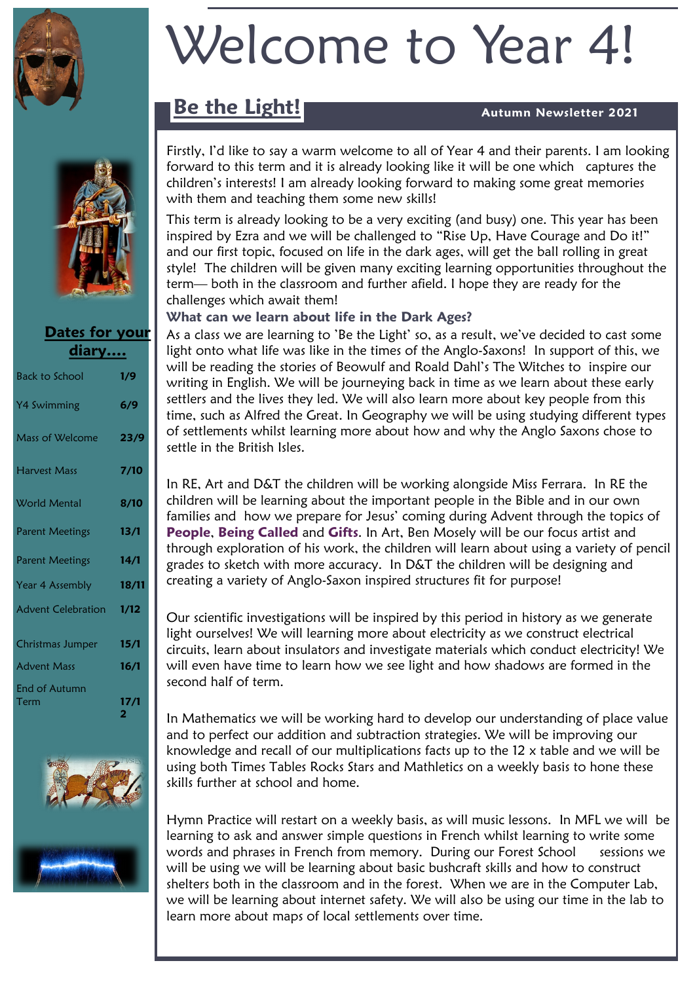



### **Dates for your diary….**

| <b>Back to School</b>     | 1/9                  |
|---------------------------|----------------------|
| Y4 Swimming               | 6/9                  |
| <b>Mass of Welcome</b>    | 23/9                 |
| <b>Harvest Mass</b>       | 7/10                 |
| <b>World Mental</b>       | 8/10                 |
| <b>Parent Meetings</b>    | 13/1                 |
| <b>Parent Meetings</b>    | 14/1                 |
| Year 4 Assembly           | 18/11                |
| <b>Advent Celebration</b> | 1/12                 |
| Christmas Jumper          | 15/1                 |
| <b>Advent Mass</b>        | 16/1                 |
| End of Autumn<br>Term     | 17/1<br>$\mathbf{2}$ |



# Welcome to Year 4!

## **Be the Light! Autumn Newsletter 2021**

Firstly, I'd like to say a warm welcome to all of Year 4 and their parents. I am looking forward to this term and it is already looking like it will be one which captures the children's interests! I am already looking forward to making some great memories with them and teaching them some new skills!

This term is already looking to be a very exciting (and busy) one. This year has been inspired by Ezra and we will be challenged to "Rise Up, Have Courage and Do it!" and our first topic, focused on life in the dark ages, will get the ball rolling in great style! The children will be given many exciting learning opportunities throughout the term— both in the classroom and further afield. I hope they are ready for the challenges which await them!

#### **What can we learn about life in the Dark Ages?**

As a class we are learning to 'Be the Light' so, as a result, we've decided to cast some light onto what life was like in the times of the Anglo-Saxons! In support of this, we will be reading the stories of Beowulf and Roald Dahl's The Witches to inspire our writing in English. We will be journeying back in time as we learn about these early settlers and the lives they led. We will also learn more about key people from this time, such as Alfred the Great. In Geography we will be using studying different types of settlements whilst learning more about how and why the Anglo Saxons chose to settle in the British Isles.

In RE, Art and D&T the children will be working alongside Miss Ferrara. In RE the children will be learning about the important people in the Bible and in our own families and how we prepare for Jesus' coming during Advent through the topics of **People**, **Being Called** and **Gifts**. In Art, Ben Mosely will be our focus artist and through exploration of his work, the children will learn about using a variety of pencil grades to sketch with more accuracy. In D&T the children will be designing and creating a variety of Anglo-Saxon inspired structures fit for purpose!

Our scientific investigations will be inspired by this period in history as we generate light ourselves! We will learning more about electricity as we construct electrical circuits, learn about insulators and investigate materials which conduct electricity! We will even have time to learn how we see light and how shadows are formed in the second half of term.

In Mathematics we will be working hard to develop our understanding of place value and to perfect our addition and subtraction strategies. We will be improving our knowledge and recall of our multiplications facts up to the 12 x table and we will be using both Times Tables Rocks Stars and Mathletics on a weekly basis to hone these skills further at school and home.

Hymn Practice will restart on a weekly basis, as will music lessons. In MFL we will be learning to ask and answer simple questions in French whilst learning to write some words and phrases in French from memory. During our Forest School sessions we will be using we will be learning about basic bushcraft skills and how to construct shelters both in the classroom and in the forest. When we are in the Computer Lab, we will be learning about internet safety. We will also be using our time in the lab to learn more about maps of local settlements over time.